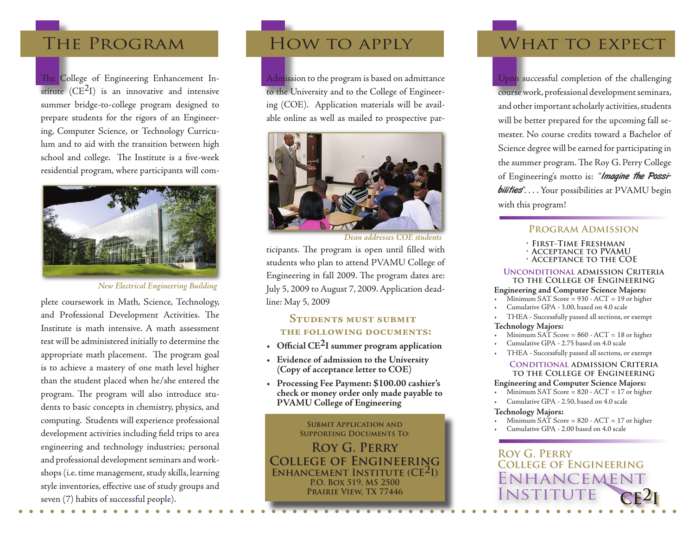# The Program

The College of Engineering Enhancement Institute  $(CE<sup>2</sup>I)$  is an innovative and intensive summer bridge-to-college program designed to prepare students for the rigors of an Engineering, Computer Science, or Technology Curriculum and to aid with the transition between high school and college. The Institute is a five-week residential program, where participants will com-



*New Electrical Engineering Building*

plete coursework in Math, Science, Technology, and Professional Development Activities. The Institute is math intensive. A math assessment test will be administered initially to determine the appropriate math placement. The program goal is to achieve a mastery of one math level higher than the student placed when he/she entered the program. The program will also introduce students to basic concepts in chemistry, physics, and computing. Students will experience professional development activities including field trips to area engineering and technology industries; personal and professional development seminars and workshops (i.e. time management, study skills, learning style inventories, effective use of study groups and seven (7) habits of successful people).

Admission to the program is based on admittance to the University and to the College of Engineering (COE). Application materials will be available online as well as mailed to prospective par-



*Dean addresses COE students*

ticipants. The program is open until filled with students who plan to attend PVAMU College of Engineering in fall 2009. The program dates are: July 5, 2009 to August 7, 2009. Application deadline: May 5, 2009

### **Students must submit the following documents:**

- **Official CE2I summer program application •**
- **Evidence of admission to the University • (Copy of acceptance letter to COE)**
- **Processing Fee Payment: \$100.00 cashier's • check or money order only made payable to PVAMU College of Engineering**

**Submit Application and Supporting Documents To:**

**Roy G. Perry College of Engineering Enhancement Institute (CE2I) P.O. Box 519, MS 2500 Prairie View, TX 77446**

# HOW TO APPLY WHAT TO EXPECT

Upon successful completion of the challenging course work, professional development seminars, and other important scholarly activities, students will be better prepared for the upcoming fall semester. No course credits toward a Bachelor of Science degree will be earned for participating in the summer program. The Roy G. Perry College of Engineering's motto is: "Imagine the Possibilities".... Your possibilities at PVAMU begin with this program!

#### **Program Admission**

- **First-Time Freshman •**
- **Acceptance to PVAMU • Acceptance to the COE •**

#### **Unconditional admission Criteria to the College of Engineering**

#### **Engineering and Computer Science Majors:**

- Minimum SAT Score = 930 ACT = 19 or higher •
- Cumulative GPA 3.00, based on 4.0 scale •
- THEA Successfully passed all sections, or exempt •

#### **Technology Majors:**

- Minimum SAT Score = 860 ACT = 18 or higher •
- Cumulative GPA 2.75 based on 4.0 scale •
- THEA Successfully passed all sections, or exempt •

#### **Conditional admission Criteria to the College of Engineering**

#### **Engineering and Computer Science Majors:**

- Minimum SAT Score  $= 820$  ACT = 17 or higher •
- Cumulative GPA 2.50, based on 4.0 scale •

#### **Technology Majors:**

- Minimum SAT Score = 820 ACT = 17 or higher •
- Cumulative GPA 2.00 based on 4.0 scale •

JHANCEMEN **INSTITUTE Roy G. Perry College of Engineering CE2I**